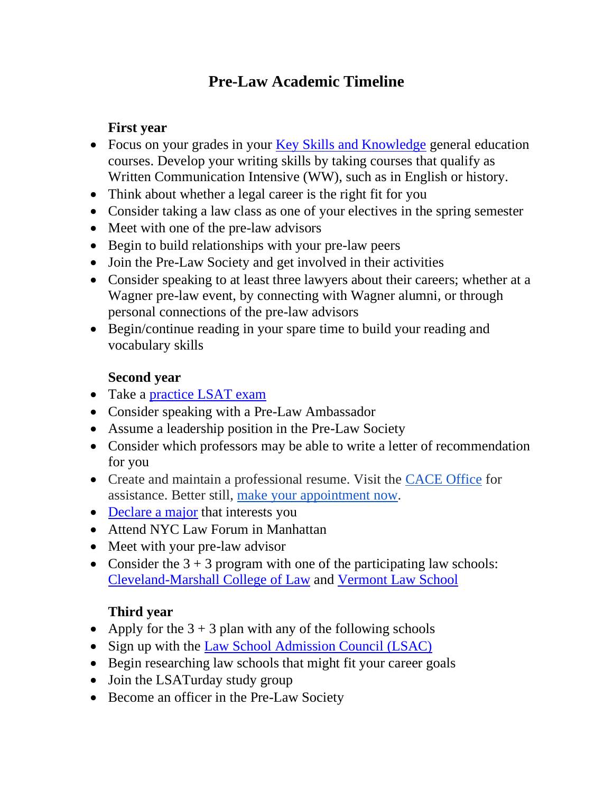# **Pre-Law Academic Timeline**

### **First year**

- Focus on your grades in your [Key Skills and Knowledge](https://wagner.edu/academics/key-skills-knowledge/) general education courses. Develop your writing skills by taking courses that qualify as Written Communication Intensive (WW), such as in English or history.
- Think about whether a legal career is the right fit for you
- Consider taking a law class as one of your electives in the spring semester
- Meet with one of the pre-law advisors
- Begin to build relationships with your pre-law peers
- Join the Pre-Law Society and get involved in their activities
- Consider speaking to at least three lawyers about their careers; whether at a Wagner pre-law event, by connecting with Wagner alumni, or through personal connections of the pre-law advisors
- Begin/continue reading in your spare time to build your reading and vocabulary skills

## **Second year**

- Take a [practice LSAT exam](https://www.lsac.org/lsat/prep/official-lsat-sample-tests)
- Consider speaking with a Pre-Law Ambassador
- Assume a leadership position in the Pre-Law Society
- Consider which professors may be able to write a letter of recommendation for you
- Create and maintain a professional resume. Visit the [CACE Office](https://wagner.edu/cace/) for assistance. Better still, [make your appointment](https://wagner.mywconline.net/) now.
- [Declare a major](https://wagner.edu/academics/undergraduate/majors/) that interests you
- Attend NYC Law Forum in Manhattan
- Meet with your pre-law advisor
- Consider the  $3 + 3$  program with one of the participating law schools: [Cleveland-Marshall College](https://www.law.csuohio.edu/) of Law and [Vermont Law School](https://www.vermontlaw.edu/)

## **Third year**

- Apply for the  $3 + 3$  plan with any of the following schools
- Sign up with the [Law School Admission Council \(LSAC\)](https://www.lsac.org/)
- Begin researching law schools that might fit your career goals
- Join the LSATurday study group
- Become an officer in the Pre-Law Society